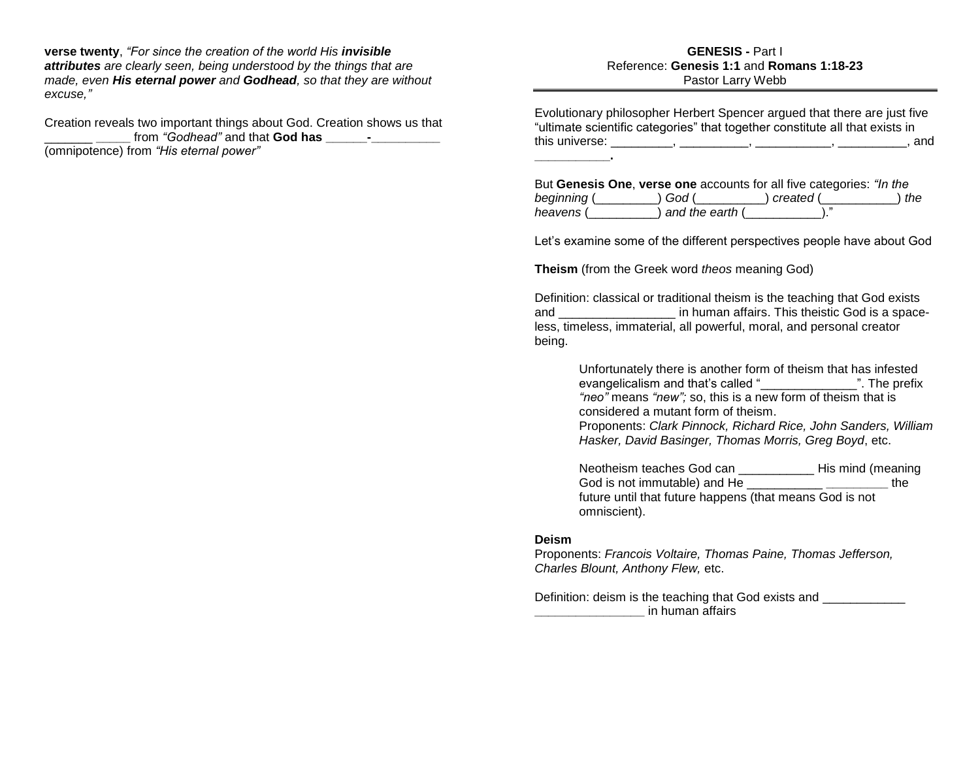**verse twenty**, *"For since the creation of the world His invisible attributes are clearly seen, being understood by the things that are made, even His eternal power and Godhead, so that they are without excuse,"*

Creation reveals two important things about God. Creation shows us that from "Godhead" and that **God has** (omnipotence) from *"His eternal power"*

#### **GENESIS -** Part I Reference: **Genesis 1:1** and **Romans 1:18-23** Pastor Larry Webb

Evolutionary philosopher Herbert Spencer argued that there are just five "ultimate scientific categories" that together constitute all that exists in this universe: \_\_\_\_\_\_\_\_\_, \_\_\_\_\_\_\_\_\_\_, \_\_\_\_\_\_\_\_\_\_\_, \_\_\_\_\_\_\_\_\_\_, and **\_\_\_\_\_\_\_\_\_\_\_.**

But **Genesis One**, **verse one** accounts for all five categories: *"In the beginning* (\_\_\_\_\_\_\_\_\_) *God* (\_\_\_\_\_\_\_\_\_\_) *created* (\_\_\_\_\_\_\_\_\_\_\_) *the heavens* (\_\_\_\_\_\_\_\_\_\_) *and the earth* (\_\_\_\_\_\_\_\_\_\_\_)."

Let's examine some of the different perspectives people have about God

**Theism** (from the Greek word *theos* meaning God)

Definition: classical or traditional theism is the teaching that God exists and **and and in human affairs.** This theistic God is a spaceless, timeless, immaterial, all powerful, moral, and personal creator being.

> Unfortunately there is another form of theism that has infested evangelicalism and that's called "\_\_\_\_\_\_\_\_\_\_\_\_\_\_". The prefix *"neo"* means *"new";* so, this is a new form of theism that is considered a mutant form of theism.

Proponents: *Clark Pinnock, Richard Rice, John Sanders, William Hasker, David Basinger, Thomas Morris, Greg Boyd*, etc.

Neotheism teaches God can \_\_\_\_\_\_\_\_\_\_\_ His mind (meaning God is not immutable) and He \_\_\_\_\_\_\_\_\_\_\_ **\_\_\_\_\_\_\_\_\_** the future until that future happens (that means God is not omniscient).

#### **Deism**

Proponents: *Francois Voltaire, Thomas Paine, Thomas Jefferson, Charles Blount, Anthony Flew,* etc.

Definition: deism is the teaching that God exists and **Example 2** in human affairs